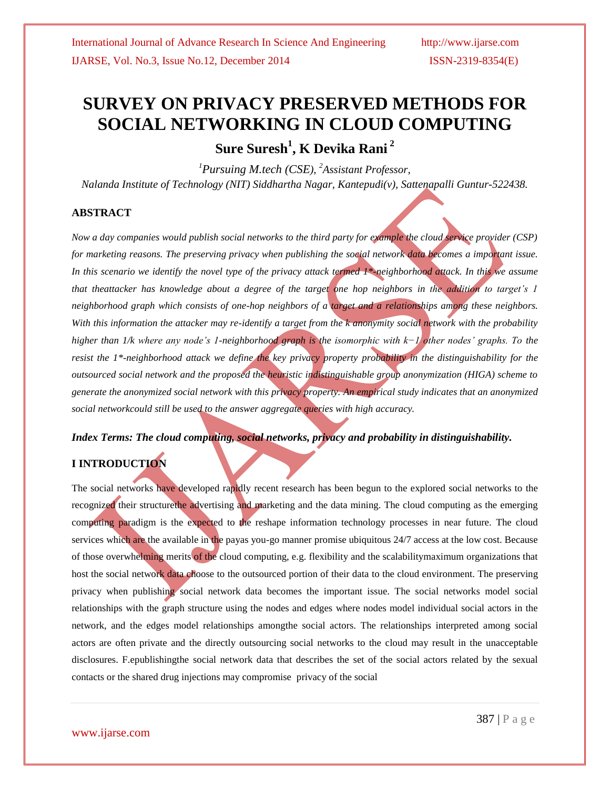# **SURVEY ON PRIVACY PRESERVED METHODS FOR SOCIAL NETWORKING IN CLOUD COMPUTING**

**Sure Suresh<sup>1</sup> , K Devika Rani <sup>2</sup>**

*<sup>1</sup>Pursuing M.tech (CSE), <sup>2</sup>Assistant Professor, Nalanda Institute of Technology (NIT) Siddhartha Nagar, Kantepudi(v), Sattenapalli Guntur-522438.*

#### **ABSTRACT**

*Now a day companies would publish social networks to the third party for example the cloud service provider (CSP) for marketing reasons. The preserving privacy when publishing the social network data becomes a important issue. In this scenario we identify the novel type of the privacy attack termed 1\*-neighborhood attack. In this we assume that theattacker has knowledge about a degree of the target one hop neighbors in the addition to target's 1 neighborhood graph which consists of one-hop neighbors of a target and a relationships among these neighbors. With this information the attacker may re-identify a target from the k anonymity social network with the probability higher than 1/k where any node's 1-neighborhood graph is the isomorphic with k−1 other nodes' graphs. To the resist the 1\*-neighborhood attack we define the key privacy property probability in the distinguishability for the outsourced social network and the proposed the heuristic indistinguishable group anonymization (HIGA) scheme to generate the anonymized social network with this privacy property. An empirical study indicates that an anonymized social networkcould still be used to the answer aggregate queries with high accuracy.* 

*Index Terms: The cloud computing, social networks, privacy and probability in distinguishability.*

## **I INTRODUCTION**

The social networks have developed rapidly recent research has been begun to the explored social networks to the recognized their structurethe advertising and marketing and the data mining. The cloud computing as the emerging computing paradigm is the expected to the reshape information technology processes in near future. The cloud services which are the available in the payas you-go manner promise ubiquitous 24/7 access at the low cost. Because of those overwhelming merits of the cloud computing, e.g. flexibility and the scalabilitymaximum organizations that host the social network data choose to the outsourced portion of their data to the cloud environment. The preserving privacy when publishing social network data becomes the important issue. The social networks model social relationships with the graph structure using the nodes and edges where nodes model individual social actors in the network, and the edges model relationships amongthe social actors. The relationships interpreted among social actors are often private and the directly outsourcing social networks to the cloud may result in the unacceptable disclosures. F.epublishingthe social network data that describes the set of the social actors related by the sexual contacts or the shared drug injections may compromise privacy of the social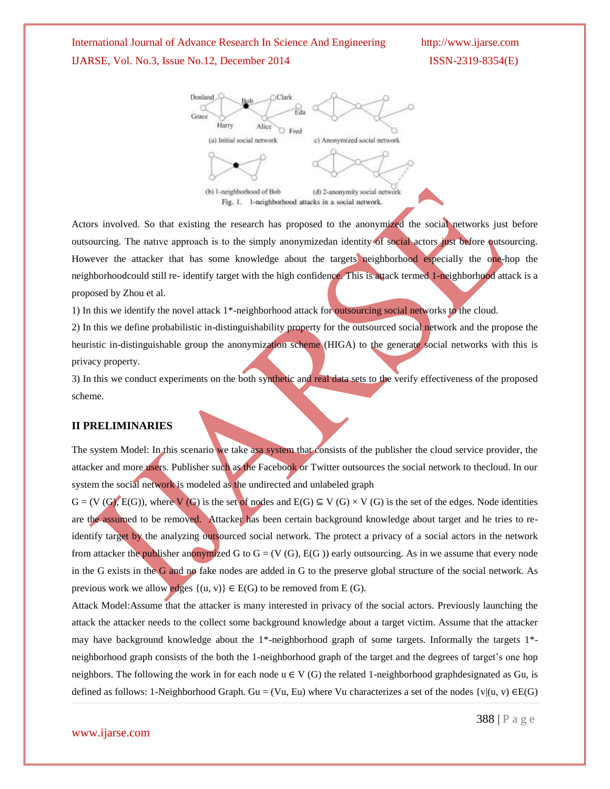# International Journal of Advance Research In Science And Engineering http://www.ijarse.com IJARSE, Vol. No.3, Issue No.12, December 2014 ISSN-2319-8354(E)



Actors involved. So that existing the research has proposed to the anonymized the social networks just before outsourcing. The natıve approach is to the simply anonymizedan identity of social actors just before outsourcing. However the attacker that has some knowledge about the targets neighborhood especially the one-hop the neighborhoodcould still re- identify target with the high confidence. This is attack termed 1-neighborhood attack is a proposed by Zhou et al.

1) In this we identify the novel attack 1\*-neighborhood attack for outsourcing social networks to the cloud.

2) In this we define probabilistic in-distinguishability property for the outsourced social network and the propose the heuristic in-distinguishable group the anonymization scheme (HIGA) to the generate social networks with this is privacy property.

3) In this we conduct experiments on the both synthetic and real data sets to the verify effectiveness of the proposed scheme.

#### **II PRELIMINARIES**

The system Model: In this scenario we take asa system that consists of the publisher the cloud service provider, the attacker and more users. Publisher such as the Facebook or Twitter outsources the social network to thecloud. In our system the social network is modeled as the undirected and unlabeled graph

 $G = (V(G), E(G))$ , where V (G) is the set of nodes and  $E(G) \subseteq V(G) \times V(G)$  is the set of the edges. Node identities are the assumed to be removed. Attacker has been certain background knowledge about target and he tries to reidentify target by the analyzing outsourced social network. The protect a privacy of a social actors in the network from attacker the publisher anonymized G to  $G = (V(G), E(G))$  early outsourcing. As in we assume that every node in the G exists in the G and no fake nodes are added in G to the preserve global structure of the social network. As previous work we allow edges  $\{(u, v)\}\in E(G)$  to be removed from E (G).

Attack Model:Assume that the attacker is many interested in privacy of the social actors. Previously launching the attack the attacker needs to the collect some background knowledge about a target victim. Assume that the attacker may have background knowledge about the 1\*-neighborhood graph of some targets. Informally the targets 1\* neighborhood graph consists of the both the 1-neighborhood graph of the target and the degrees of target's one hop neighbors. The following the work in for each node  $u \in V(G)$  the related 1-neighborhood graphdesignated as Gu, is defined as follows: 1-Neighborhood Graph. Gu = (Vu, Eu) where Vu characterizes a set of the nodes  $\{v | (u, v) \in E(G)$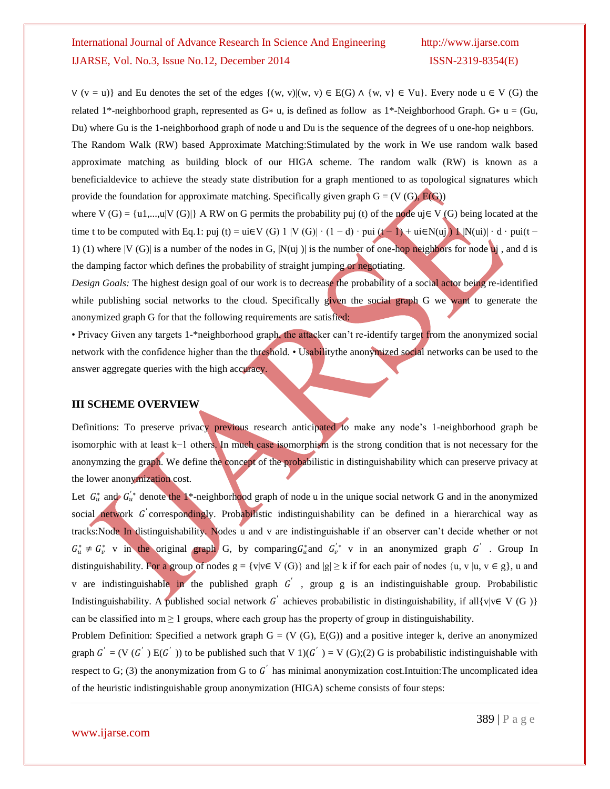$V$  (v = u)} and Eu denotes the set of the edges  $\{(w, v) | (w, v) \in E(G) \land \{w, v\} \in Vu\}$ . Every node u  $\in V$  (G) the related 1\*-neighborhood graph, represented as G∗ u, is defined as follow as 1\*-Neighborhood Graph. G∗ u = (Gu, Du) where Gu is the 1-neighborhood graph of node u and Du is the sequence of the degrees of u one-hop neighbors. The Random Walk (RW) based Approximate Matching:Stimulated by the work in We use random walk based approximate matching as building block of our HIGA scheme. The random walk (RW) is known as a beneficialdevice to achieve the steady state distribution for a graph mentioned to as topological signatures which provide the foundation for approximate matching. Specifically given graph  $G = (V(G), E(G))$ 

where V (G) = {u1,...,u|V (G)|} A RW on G permits the probability puj (t) of the node uj $\in$  V (G) being located at the time t to be computed with Eq.1: puj (t) = ui∈V (G) 1 |V (G)| · (1 - d) · pui (t - 1) + ui∈N(uj) 1 |N(ui)| · d · pui(t -1) (1) where  $|V(G)|$  is a number of the nodes in G,  $|N(u)|$  is the number of one-hop neighbors for node uj, and d is the damping factor which defines the probability of straight jumping or negotiating.

*Design Goals:* The highest design goal of our work is to decrease the probability of a social actor being re-identified while publishing social networks to the cloud. Specifically given the social graph G we want to generate the anonymized graph G for that the following requirements are satisfied:

• Privacy Given any targets 1-\*neighborhood graph, the attacker can't re-identify target from the anonymized social network with the confidence higher than the threshold. • Usabilitythe anonymized social networks can be used to the answer aggregate queries with the high accuracy.

#### **III SCHEME OVERVIEW**

Definitions: To preserve privacy previous research anticipated to make any node's 1-neighborhood graph be isomorphic with at least k−1 others. In much case isomorphism is the strong condition that is not necessary for the anonymzing the graph. We define the concept of the probabilistic in distinguishability which can preserve privacy at the lower anonymization cost.

Let  $G_u^*$  and  $G_u^{'*}$  denote the 1<sup>\*</sup>-neighborhood graph of node u in the unique social network G and in the anonymized social network G correspondingly. Probabilistic indistinguishability can be defined in a hierarchical way as tracks:Node In distinguishability. Nodes u and v are indistinguishable if an observer can't decide whether or not  $G_u^* \neq G_v^*$  v in the original graph G, by comparing  $G_u^*$  and  $G_v^{'*}$  v in an anonymized graph G'. Group In distinguishability. For a group of nodes  $g = \{v | v \in V(G)\}$  and  $|g| \ge k$  if for each pair of nodes  $\{u, v | u, v \in g\}$ , u and v are indistinguishable in the published graph  $G'$ , group g is an indistinguishable group. Probabilistic Indistinguishability. A published social network G' achieves probabilistic in distinguishability, if all{v|v∈ V (G)} can be classified into  $m \ge 1$  groups, where each group has the property of group in distinguishability.

Problem Definition: Specified a network graph  $G = (V(G), E(G))$  and a positive integer k, derive an anonymized graph  $G' = (V(G'))E(G'))$  to be published such that V 1)( $G'$ ) = V (G);(2) G is probabilistic indistinguishable with respect to G; (3) the anonymization from G to  $G'$  has minimal anonymization cost. Intuition: The uncomplicated idea of the heuristic indistinguishable group anonymization (HIGA) scheme consists of four steps: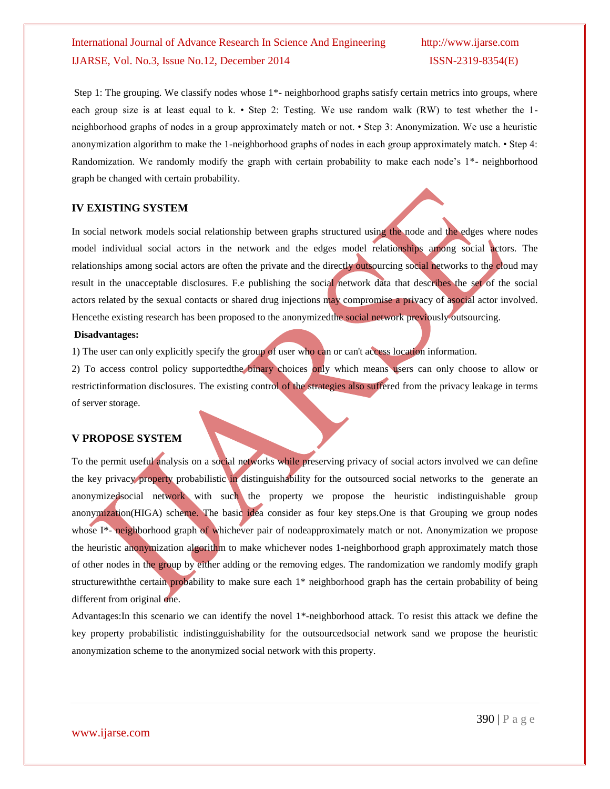# International Journal of Advance Research In Science And Engineering http://www.ijarse.com IJARSE, Vol. No.3, Issue No.12, December 2014 ISSN-2319-8354(E)

Step 1: The grouping. We classify nodes whose 1\*- neighborhood graphs satisfy certain metrics into groups, where each group size is at least equal to k. • Step 2: Testing. We use random walk  $(RW)$  to test whether the 1neighborhood graphs of nodes in a group approximately match or not. • Step 3: Anonymization. We use a heuristic anonymization algorithm to make the 1-neighborhood graphs of nodes in each group approximately match. • Step 4: Randomization. We randomly modify the graph with certain probability to make each node's 1\*- neighborhood graph be changed with certain probability.

#### **IV EXISTING SYSTEM**

In social network models social relationship between graphs structured using the node and the edges where nodes model individual social actors in the network and the edges model relationships among social actors. The relationships among social actors are often the private and the directly outsourcing social networks to the cloud may result in the unacceptable disclosures. F.e publishing the social network data that describes the set of the social actors related by the sexual contacts or shared drug injections may compromise a privacy of asocial actor involved. Hencethe existing research has been proposed to the anonymizedthe social network previously outsourcing.

#### **Disadvantages:**

1) The user can only explicitly specify the group of user who can or can't access location information.

2) To access control policy supportedthe binary choices only which means users can only choose to allow or restrictinformation disclosures. The existing control of the strategies also suffered from the privacy leakage in terms of server storage.

### **V PROPOSE SYSTEM**

To the permit useful analysis on a social networks while preserving privacy of social actors involved we can define the key privacy property probabilistic in distinguishability for the outsourced social networks to the generate an anonymizedsocial network with such the property we propose the heuristic indistinguishable group anonymization(HIGA) scheme. The basic idea consider as four key steps.One is that Grouping we group nodes whose I<sup>\*</sup>- neighborhood graph of whichever pair of nodeapproximately match or not. Anonymization we propose the heuristic anonymization algorithm to make whichever nodes 1-neighborhood graph approximately match those of other nodes in the group by either adding or the removing edges. The randomization we randomly modify graph structurewiththe certain probability to make sure each 1\* neighborhood graph has the certain probability of being different from original one.

Advantages:In this scenario we can identify the novel 1\*-neighborhood attack. To resist this attack we define the key property probabilistic indistingguishability for the outsourcedsocial network sand we propose the heuristic anonymization scheme to the anonymized social network with this property.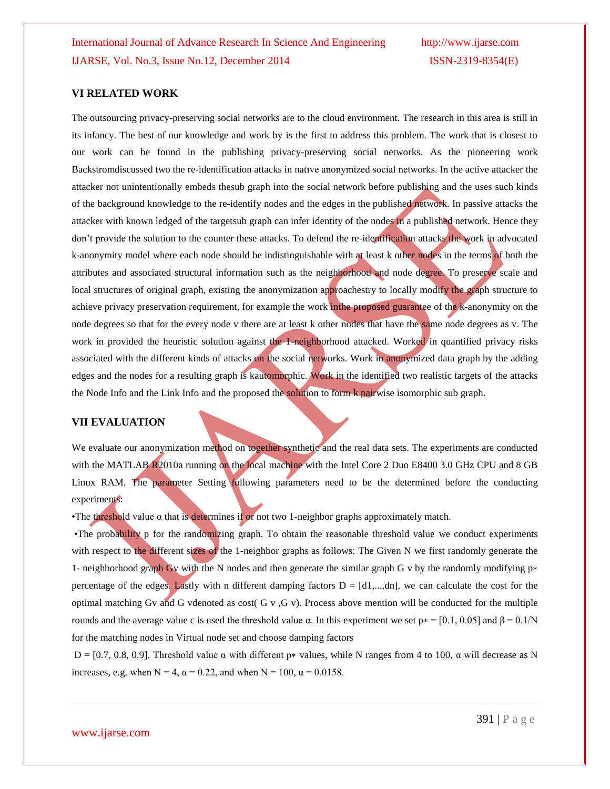#### **VI RELATED WORK**

The outsourcing privacy-preserving social networks are to the cloud environment. The research in this area is still in its infancy. The best of our knowledge and work by is the first to address this problem. The work that is closest to our work can be found in the publishing privacy-preserving social networks. As the pioneering work Backstromdiscussed two the re-identification attacks in natıve anonymized social networks. In the active attacker the attacker not unintentionally embeds thesub graph into the social network before publishing and the uses such kinds of the background knowledge to the re-identify nodes and the edges in the published network. In passive attacks the attacker with known ledged of the targetsub graph can infer identity of the nodes in a published network. Hence they don't provide the solution to the counter these attacks. To defend the re-identification attacks the work in advocated k-anonymity model where each node should be indistinguishable with at least k other nodes in the terms of both the attributes and associated structural information such as the neighborhood and node degree. To preserve scale and local structures of original graph, existing the anonymization approachestry to locally modify the graph structure to achieve privacy preservation requirement, for example the work in the proposed guarantee of the k-anonymity on the node degrees so that for the every node v there are at least k other nodes that have the same node degrees as v. The work in provided the heuristic solution against the 1-neighborhood attacked. Worked in quantified privacy risks associated with the different kinds of attacks on the social networks. Work in anonymized data graph by the adding edges and the nodes for a resulting graph is kautomorphic. Work in the identified two realistic targets of the attacks the Node Info and the Link Info and the proposed the solution to form k pairwise isomorphic sub graph.

#### **VII EVALUATION**

We evaluate our anonymization method on together synthetic and the real data sets. The experiments are conducted with the MATLAB R2010a running on the local machine with the Intel Core 2 Duo E8400 3.0 GHz CPU and 8 GB Linux RAM. The parameter Setting following parameters need to be the determined before the conducting experiments:

•The threshold value  $\alpha$  that is determines if or not two 1-neighbor graphs approximately match.

•The probability p for the randomizing graph. To obtain the reasonable threshold value we conduct experiments with respect to the different sizes of the 1-neighbor graphs as follows: The Given N we first randomly generate the 1- neighborhood graph Gv with the N nodes and then generate the similar graph G v by the randomly modifying p∗ percentage of the edges. Lastly with n different damping factors  $D = [d_1,...,d_n]$ , we can calculate the cost for the optimal matching Gv and G vdenoted as cost( G v, G v). Process above mention will be conducted for the multiple rounds and the average value c is used the threshold value α. In this experiment we set  $p* = [0.1, 0.05]$  and  $β = 0.1/N$ for the matching nodes in Virtual node set and choose damping factors

D = [0.7, 0.8, 0.9]. Threshold value α with different p\* values, while N ranges from 4 to 100, α will decrease as N increases, e.g. when  $N = 4$ ,  $\alpha = 0.22$ , and when  $N = 100$ ,  $\alpha = 0.0158$ .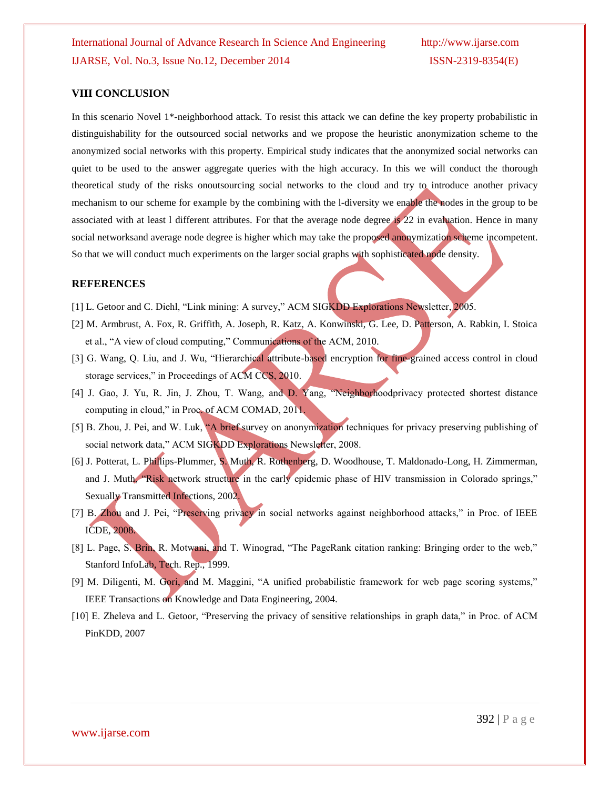#### **VIII CONCLUSION**

In this scenario Novel 1\*-neighborhood attack. To resist this attack we can define the key property probabilistic in distinguishability for the outsourced social networks and we propose the heuristic anonymization scheme to the anonymized social networks with this property. Empirical study indicates that the anonymized social networks can quiet to be used to the answer aggregate queries with the high accuracy. In this we will conduct the thorough theoretical study of the risks onoutsourcing social networks to the cloud and try to introduce another privacy mechanism to our scheme for example by the combining with the l-diversity we enable the nodes in the group to be associated with at least l different attributes. For that the average node degree is 22 in evaluation. Hence in many social networksand average node degree is higher which may take the proposed anonymization scheme incompetent. So that we will conduct much experiments on the larger social graphs with sophisticated node density.

#### **REFERENCES**

- [1] L. Getoor and C. Diehl, "Link mining: A survey," ACM SIGKDD Explorations Newsletter, 2005.
- [2] M. Armbrust, A. Fox, R. Griffith, A. Joseph, R. Katz, A. Konwinski, G. Lee, D. Patterson, A. Rabkin, I. Stoica et al., "A view of cloud computing," Communications of the ACM, 2010.
- [3] G. Wang, Q. Liu, and J. Wu, "Hierarchical attribute-based encryption for fine-grained access control in cloud storage services," in Proceedings of ACM CCS, 2010.
- [4] J. Gao, J. Yu, R. Jin, J. Zhou, T. Wang, and D. Yang, "Neighborhoodprivacy protected shortest distance computing in cloud," in Proc. of ACM COMAD, 2011.
- [5] B. Zhou, J. Pei, and W. Luk, "A brief survey on anonymization techniques for privacy preserving publishing of social network data," ACM SIGKDD Explorations Newsletter, 2008.
- [6] J. Potterat, L. Phillips-Plummer, S. Muth, R. Rothenberg, D. Woodhouse, T. Maldonado-Long, H. Zimmerman, and J. Muth, "Risk network structure in the early epidemic phase of HIV transmission in Colorado springs," Sexually Transmitted Infections, 2002.
- [7] B. Zhou and J. Pei, "Preserving privacy in social networks against neighborhood attacks," in Proc. of IEEE ICDE, 2008.
- [8] L. Page, S. Brin, R. Motwani, and T. Winograd, "The PageRank citation ranking: Bringing order to the web," Stanford InfoLab, Tech. Rep., 1999.
- [9] M. Diligenti, M. Gori, and M. Maggini, "A unified probabilistic framework for web page scoring systems," IEEE Transactions on Knowledge and Data Engineering, 2004.
- [10] E. Zheleva and L. Getoor, "Preserving the privacy of sensitive relationships in graph data," in Proc. of ACM PinKDD, 2007